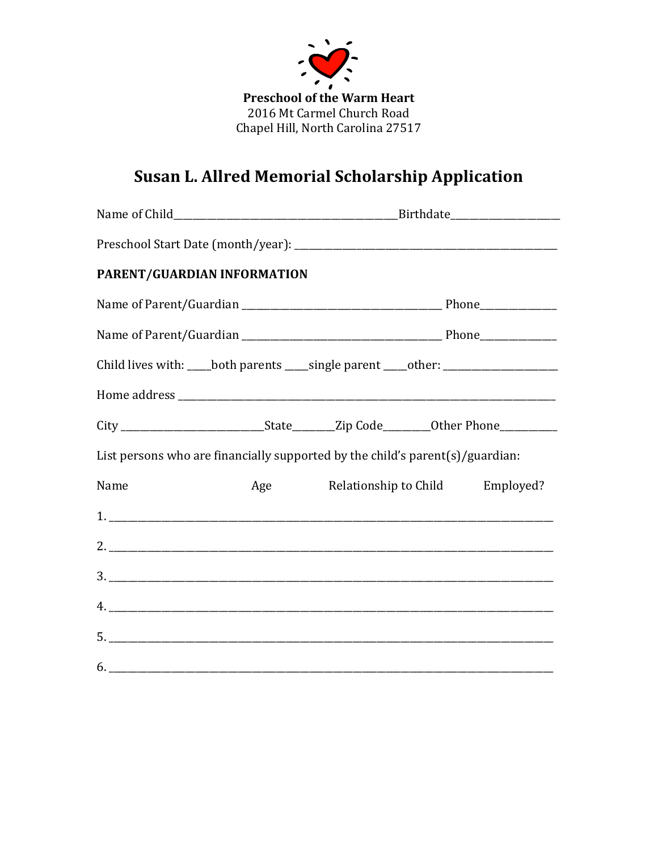

# **Susan L. Allred Memorial Scholarship Application**

|                                                                                   |                                                                                         |                                     | Birthdate_____________________ |  |  |
|-----------------------------------------------------------------------------------|-----------------------------------------------------------------------------------------|-------------------------------------|--------------------------------|--|--|
|                                                                                   |                                                                                         |                                     |                                |  |  |
|                                                                                   | PARENT/GUARDIAN INFORMATION                                                             |                                     |                                |  |  |
|                                                                                   |                                                                                         |                                     |                                |  |  |
|                                                                                   |                                                                                         |                                     |                                |  |  |
|                                                                                   | Child lives with: ____both parents ____single parent ____other: ________________        |                                     |                                |  |  |
|                                                                                   |                                                                                         |                                     |                                |  |  |
|                                                                                   | City _______________________________State________Zip Code_________Other Phone__________ |                                     |                                |  |  |
| List persons who are financially supported by the child's parent $(s)/g$ uardian: |                                                                                         |                                     |                                |  |  |
| Name                                                                              |                                                                                         | Age Relationship to Child Employed? |                                |  |  |
|                                                                                   | 1.                                                                                      |                                     |                                |  |  |
|                                                                                   |                                                                                         |                                     |                                |  |  |
|                                                                                   |                                                                                         |                                     |                                |  |  |
|                                                                                   | 4.                                                                                      |                                     |                                |  |  |
|                                                                                   |                                                                                         |                                     |                                |  |  |
|                                                                                   | 6.                                                                                      |                                     |                                |  |  |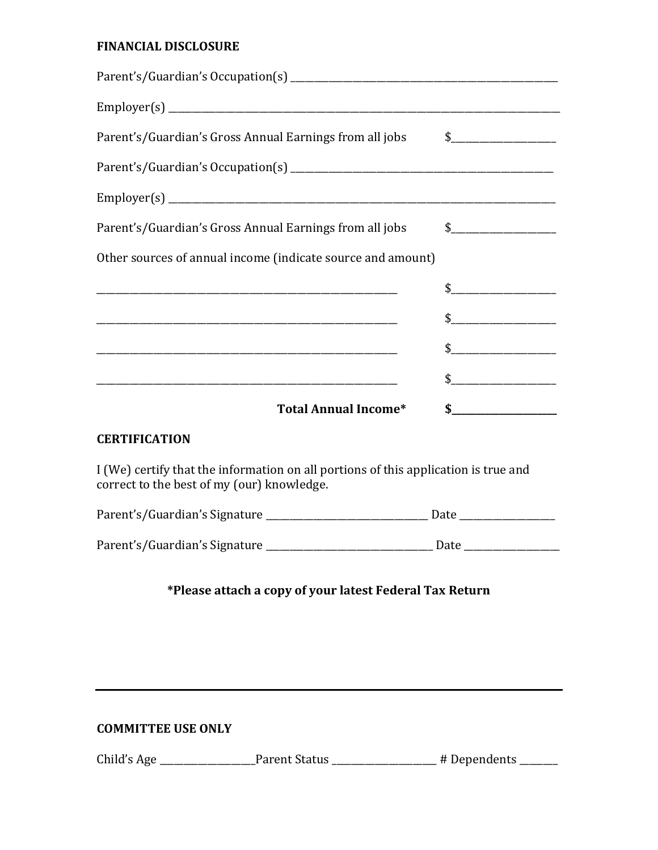#### **FINANCIAL DISCLOSURE**

| Parent's/Guardian's Gross Annual Earnings from all jobs                                                                           | $\frac{1}{2}$ |
|-----------------------------------------------------------------------------------------------------------------------------------|---------------|
|                                                                                                                                   |               |
|                                                                                                                                   |               |
| Parent's/Guardian's Gross Annual Earnings from all jobs                                                                           | $\frac{1}{2}$ |
| Other sources of annual income (indicate source and amount)                                                                       |               |
|                                                                                                                                   | $\frac{1}{2}$ |
|                                                                                                                                   | $\frac{1}{2}$ |
|                                                                                                                                   | $\frac{1}{2}$ |
|                                                                                                                                   | $\frac{1}{2}$ |
| <b>Total Annual Income*</b>                                                                                                       | \$            |
| <b>CERTIFICATION</b>                                                                                                              |               |
| I (We) certify that the information on all portions of this application is true and<br>correct to the best of my (our) knowledge. |               |
|                                                                                                                                   |               |
|                                                                                                                                   |               |
|                                                                                                                                   |               |

## **\*Please attach a copy of your latest Federal Tax Return**

## **COMMITTEE USE ONLY**

Child's Age \_\_\_\_\_\_\_\_\_\_\_\_\_\_\_\_\_\_\_\_\_Parent Status \_\_\_\_\_\_\_\_\_\_\_\_\_\_\_\_\_\_\_\_\_\_\_ # Dependents \_\_\_\_\_\_\_\_